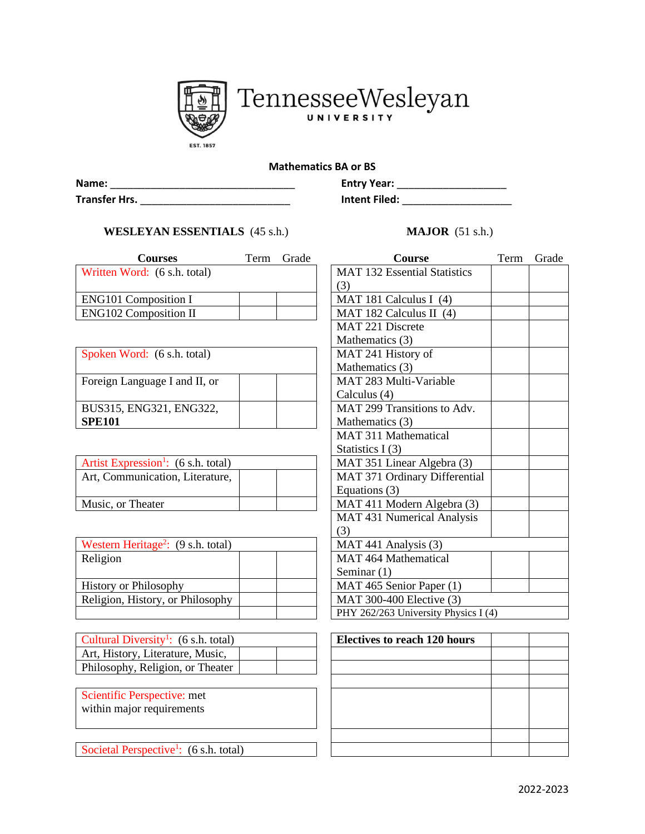

TennesseeWesleyan

## **Mathematics BA or BS**

| Name:         | <b>Entry Year:</b>   |
|---------------|----------------------|
| Transfer Hrs. | <b>Intent Filed:</b> |

## **WESLEYAN ESSENTIALS** (45 s.h.) **MAJOR** (51 s.h.)

| <b>Courses</b>               | Term | Grade | <b>Course</b>                |
|------------------------------|------|-------|------------------------------|
| Written Word: (6 s.h. total) |      |       | MAT 132 Essential Statistics |
|                              |      |       | (3)                          |
| <b>ENG101 Composition I</b>  |      |       | MAT 181 Calculus I $(4)$     |
| <b>ENG102 Composition II</b> |      |       | MAT 182 Calculus II $(4)$    |

| Spoken Word: (6 s.h. total)   | MAT 241 History of         |
|-------------------------------|----------------------------|
|                               | Mathematics (3)            |
| Foreign Language I and II, or | MAT 283 Multi-Variable     |
|                               | Calculus (4)               |
| BUS315, ENG321, ENG322,       | MAT 299 Transitions to $A$ |
| <b>SPE101</b>                 | Mathematics (3)            |

| Artist Expression <sup>1</sup> : $(6 \text{ s.h. total})$ | MAT 351 Linear Algebra (3)    |
|-----------------------------------------------------------|-------------------------------|
| Art, Communication, Literature,                           | MAT 371 Ordinary Differential |
|                                                           | Equations (3)                 |
| Music, or Theater                                         | MAT 411 Modern Algebra (3)    |
|                                                           |                               |

| Western Heritage <sup>2</sup> : $(9 \text{ s.h. total})$ | MAT 441 Analysis $(3)$         |
|----------------------------------------------------------|--------------------------------|
| Religion                                                 | MAT 464 Mathematical           |
|                                                          | Seminar $(1)$                  |
| <b>History or Philosophy</b>                             | MAT 465 Senior Paper (1)       |
| Religion, History, or Philosophy                         | MAT 300-400 Elective (3)       |
|                                                          | $PHV$ $262/263$ University Phy |

| Cultural Diversity <sup>1</sup> : $(6 \text{ s.h. total})$ |  |
|------------------------------------------------------------|--|
| Art, History, Literature, Music,                           |  |
| Philosophy, Religion, or Theater                           |  |

Scientific Perspective: met within major requirements

Societal Perspective<sup>1</sup>: (6 s.h. total)

| <b>Entry Year:</b>   |  |
|----------------------|--|
| <b>Intent Filed:</b> |  |

| <b>Courses</b>                                 | Term | Grade | <b>Course</b>                        | Term | Grade |
|------------------------------------------------|------|-------|--------------------------------------|------|-------|
| rd: $(6 s.h. total)$                           |      |       | <b>MAT 132 Essential Statistics</b>  |      |       |
|                                                |      |       | (3)                                  |      |       |
| mposition I                                    |      |       | MAT 181 Calculus I (4)               |      |       |
| mposition II                                   |      |       | MAT 182 Calculus II $(4)$            |      |       |
|                                                |      |       | MAT 221 Discrete                     |      |       |
|                                                |      |       | Mathematics (3)                      |      |       |
| rd: $(6 \text{ s.h. total})$                   |      |       | MAT 241 History of                   |      |       |
|                                                |      |       | Mathematics (3)                      |      |       |
| guage I and II, or                             |      |       | MAT 283 Multi-Variable               |      |       |
|                                                |      |       | Calculus (4)                         |      |       |
| VG321, ENG322,                                 |      |       | MAT 299 Transitions to Adv.          |      |       |
|                                                |      |       | Mathematics (3)                      |      |       |
|                                                |      |       | MAT 311 Mathematical                 |      |       |
|                                                |      |       | Statistics $I(3)$                    |      |       |
| $\text{e}\sin^{-1}$ : (6 s.h. total)           |      |       | MAT 351 Linear Algebra (3)           |      |       |
| inication, Literature,                         |      |       | MAT 371 Ordinary Differential        |      |       |
|                                                |      |       | Equations (3)                        |      |       |
| heater                                         |      |       | MAT 411 Modern Algebra (3)           |      |       |
|                                                |      |       | MAT 431 Numerical Analysis           |      |       |
|                                                |      |       | (3)                                  |      |       |
| ritage <sup>2</sup> : $(9 \text{ s.h. total})$ |      |       | MAT 441 Analysis (3)                 |      |       |
|                                                |      |       | MAT 464 Mathematical                 |      |       |
|                                                |      |       | Seminar (1)                          |      |       |
| hilosophy                                      |      |       | MAT 465 Senior Paper (1)             |      |       |
| story, or Philosophy                           |      |       | <b>MAT 300-400 Elective (3)</b>      |      |       |
|                                                |      |       | PHY 262/263 University Physics I (4) |      |       |

| (6 s.h. total)         | <b>Electives to reach 120 hours</b> |  |
|------------------------|-------------------------------------|--|
| ture, Music,           |                                     |  |
| on, or Theater         |                                     |  |
|                        |                                     |  |
| ive: met               |                                     |  |
| rements                |                                     |  |
|                        |                                     |  |
|                        |                                     |  |
| $e^1$ : (6 s.h. total) |                                     |  |